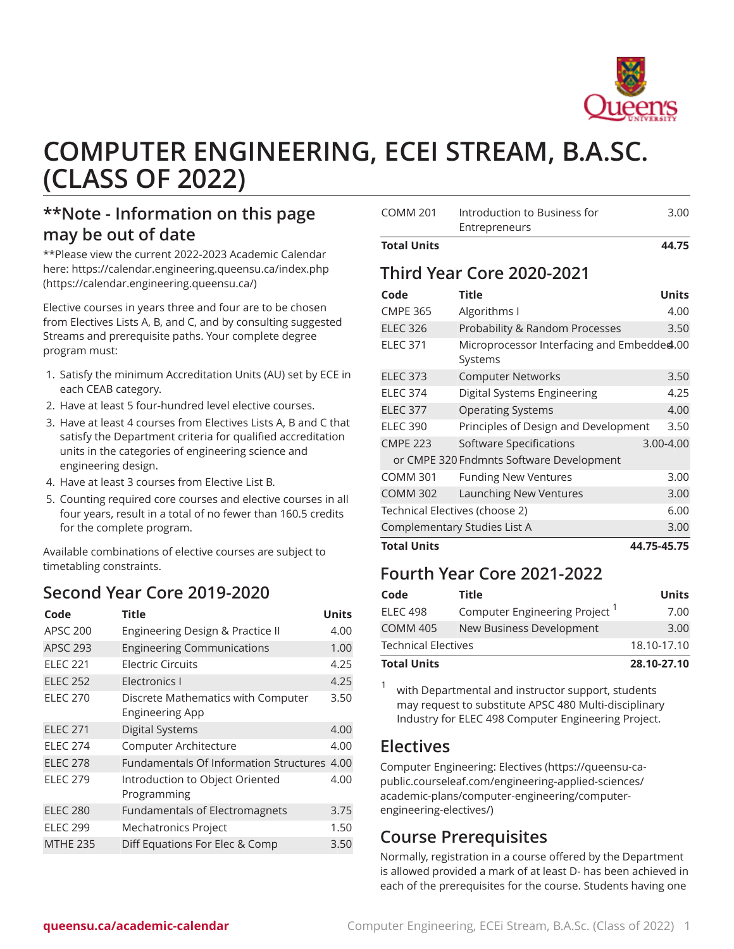

# **COMPUTER ENGINEERING, ECEI STREAM, B.A.SC. (CLASS OF 2022)**

## **\*\*Note - Information on this page may be out of date**

\*\*Please view the current 2022-2023 Academic Calendar here: [https://calendar.engineering.queensu.ca/index.php](https://calendar.engineering.queensu.ca/) ([https://calendar.engineering.queensu.ca/\)](https://calendar.engineering.queensu.ca/)

Elective courses in years three and four are to be chosen from Electives Lists A, B, and C, and by consulting suggested Streams and prerequisite paths. Your complete degree program must:

- 1. Satisfy the minimum Accreditation Units (AU) set by ECE in each CEAB category.
- 2. Have at least 5 four-hundred level elective courses.
- 3. Have at least 4 courses from Electives Lists A, B and C that satisfy the Department criteria for qualified accreditation units in the categories of engineering science and engineering design.
- 4. Have at least 3 courses from Elective List B.
- 5. Counting required core courses and elective courses in all four years, result in a total of no fewer than 160.5 credits for the complete program.

Available combinations of elective courses are subject to timetabling constraints.

## **Second Year Core 2019-2020**

| Code            | Title                                                        | <b>Units</b> |
|-----------------|--------------------------------------------------------------|--------------|
| <b>APSC 200</b> | Engineering Design & Practice II                             | 4.00         |
| <b>APSC 293</b> | <b>Engineering Communications</b>                            | 1.00         |
| <b>ELEC 221</b> | Electric Circuits                                            | 4.25         |
| <b>ELEC 252</b> | Electronics I                                                | 4.25         |
| <b>ELEC 270</b> | Discrete Mathematics with Computer<br><b>Engineering App</b> | 3.50         |
| <b>ELEC 271</b> | <b>Digital Systems</b>                                       | 4.00         |
| <b>ELEC 274</b> | Computer Architecture                                        | 4.00         |
| <b>ELEC 278</b> | <b>Fundamentals Of Information Structures</b>                | 4.00         |
| <b>ELEC 279</b> | Introduction to Object Oriented<br>Programming               | 4.00         |
| <b>ELEC 280</b> | <b>Fundamentals of Electromagnets</b>                        | 3.75         |
| <b>ELEC 299</b> | Mechatronics Project                                         | 1.50         |
| <b>MTHE 235</b> | Diff Equations For Elec & Comp                               | 3.50         |

| <b>Total Units</b> |                                               | 44.75 |
|--------------------|-----------------------------------------------|-------|
| COMM 201           | Introduction to Business for<br>Entrepreneurs | 3.00  |

#### **Third Year Core 2020-2021**

| Code                           | Title                                                 | <b>Units</b>  |
|--------------------------------|-------------------------------------------------------|---------------|
| <b>CMPE 365</b>                | Algorithms I                                          | 4.00          |
| <b>ELEC 326</b>                | Probability & Random Processes                        | 3.50          |
| <b>ELEC 371</b>                | Microprocessor Interfacing and Embedded.00<br>Systems |               |
| <b>ELEC 373</b>                | <b>Computer Networks</b>                              | 3.50          |
| <b>ELEC 374</b>                | Digital Systems Engineering                           | 4.25          |
| <b>ELEC 377</b>                | <b>Operating Systems</b>                              | 4.00          |
| <b>ELEC 390</b>                | Principles of Design and Development                  | 3.50          |
| <b>CMPE 223</b>                | <b>Software Specifications</b>                        | $3.00 - 4.00$ |
|                                | or CMPE 320 Fndmnts Software Development              |               |
| <b>COMM 301</b>                | <b>Funding New Ventures</b>                           | 3.00          |
| <b>COMM 302</b>                | Launching New Ventures                                | 3.00          |
| Technical Electives (choose 2) |                                                       |               |
| Complementary Studies List A   |                                                       |               |
| <b>Total Units</b>             |                                                       | 44.75-45.75   |

#### **Fourth Year Core 2021-2022**

| Code                       | Title                                     | <b>Units</b> |
|----------------------------|-------------------------------------------|--------------|
| <b>ELEC 498</b>            | Computer Engineering Project <sup>1</sup> | 7.00         |
| <b>COMM 405</b>            | New Business Development                  | 3.00         |
| <b>Technical Electives</b> |                                           | 18.10-17.10  |
| <b>Total Units</b>         |                                           | 28.10-27.10  |

1 with Departmental and instructor support, students may request to substitute [APSC 480](/search/?P=APSC%20480) Multi-disciplinary Industry for [ELEC 498](/search/?P=ELEC%20498) Computer Engineering Project.

#### **Electives**

[Computer Engineering: Electives](https://queensu-ca-public.courseleaf.com/engineering-applied-sciences/academic-plans/computer-engineering/computer-engineering-electives/) [\(https://queensu-ca](https://queensu-ca-public.courseleaf.com/engineering-applied-sciences/academic-plans/computer-engineering/computer-engineering-electives/)[public.courseleaf.com/engineering-applied-sciences/](https://queensu-ca-public.courseleaf.com/engineering-applied-sciences/academic-plans/computer-engineering/computer-engineering-electives/) [academic-plans/computer-engineering/computer](https://queensu-ca-public.courseleaf.com/engineering-applied-sciences/academic-plans/computer-engineering/computer-engineering-electives/)[engineering-electives/](https://queensu-ca-public.courseleaf.com/engineering-applied-sciences/academic-plans/computer-engineering/computer-engineering-electives/))

## **Course Prerequisites**

Normally, registration in a course offered by the Department is allowed provided a mark of at least D- has been achieved in each of the prerequisites for the course. Students having one